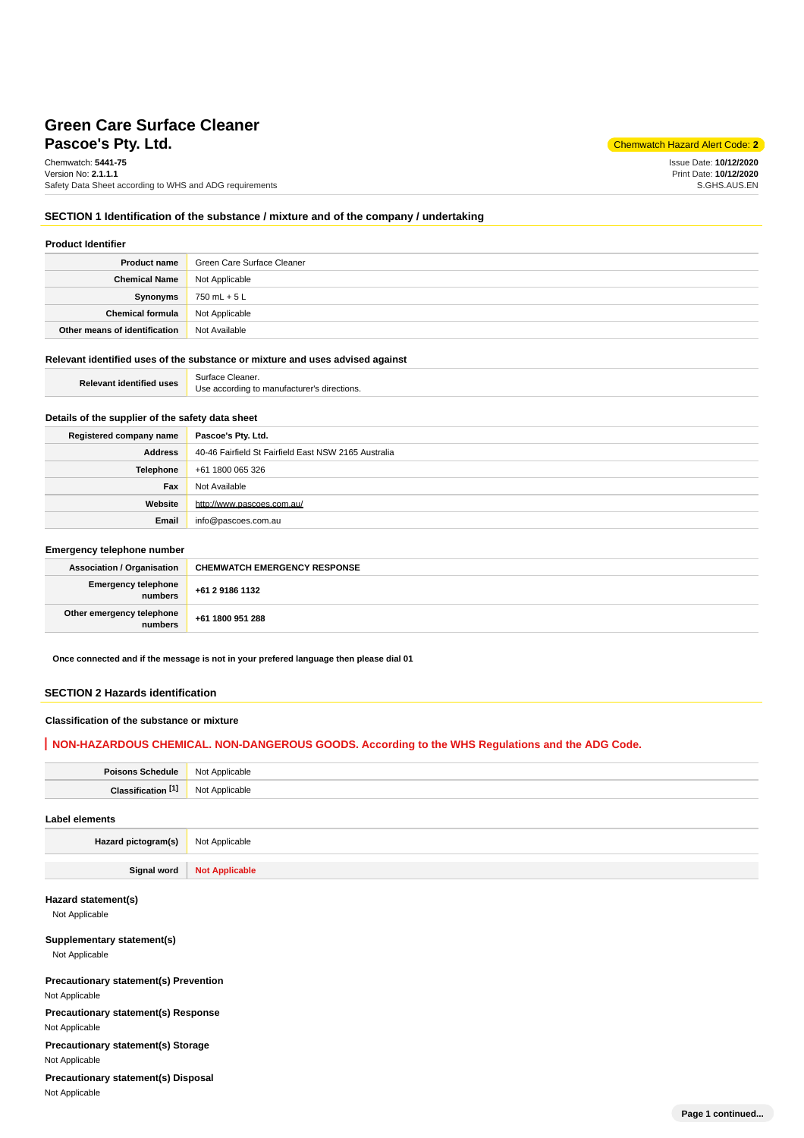# **Pascoe's Pty. Ltd.** Chemwatch Hazard Alert Code: **2 Green Care Surface Cleaner**

Chemwatch: **5441-75** Version No: **2.1.1.1** Safety Data Sheet according to WHS and ADG requirements

Issue Date: **10/12/2020** Print Date: **10/12/2020** S.GHS.AUS.EN

## **SECTION 1 Identification of the substance / mixture and of the company / undertaking**

# **Product Identifier**

| <b>Product name</b>           | Green Care Surface Cleaner |
|-------------------------------|----------------------------|
| <b>Chemical Name</b>          | Not Applicable             |
| Synonyms                      | 750 mL + 5 L               |
| Chemical formula              | Not Applicable             |
| Other means of identification | Not Available              |

#### **Relevant identified uses of the substance or mixture and uses advised against**

| <b>Relevant identified uses</b> | Surface Cleaner.                            |
|---------------------------------|---------------------------------------------|
|                                 | Use according to manufacturer's directions. |

# **Details of the supplier of the safety data sheet**

| Registered company name | Pascoe's Pty. Ltd.                                   |
|-------------------------|------------------------------------------------------|
| <b>Address</b>          | 40-46 Fairfield St Fairfield East NSW 2165 Australia |
| Telephone               | +61 1800 065 326                                     |
| Fax                     | Not Available                                        |
| Website                 | http://www.pascoes.com.au/                           |
| Email                   | info@pascoes.com.au                                  |

#### **Emergency telephone number**

| <b>Association / Organisation</b>    | <b>CHEMWATCH EMERGENCY RESPONSE</b> |
|--------------------------------------|-------------------------------------|
| Emergency telephone<br>numbers       | +61 2 9186 1132                     |
| Other emergency telephone<br>numbers | +61 1800 951 288                    |

**Once connected and if the message is not in your prefered language then please dial 01**

#### **SECTION 2 Hazards identification**

## **Classification of the substance or mixture**

## **NON-HAZARDOUS CHEMICAL. NON-DANGEROUS GOODS. According to the WHS Regulations and the ADG Code.**

| Poisons Schedule   Not Applicable |                |
|-----------------------------------|----------------|
| Classification <sup>[1]</sup>     | Not Applicable |
| Label elements                    |                |

**Hazard pictogram(s)** Not Applicable

**Signal word Not Applicable**

# **Hazard statement(s)**

Not Applicable

# **Supplementary statement(s)**

Not Applicable

# **Precautionary statement(s) Prevention**

Not Applicable

**Precautionary statement(s) Response**

Not Applicable

**Precautionary statement(s) Storage**

Not Applicable

**Precautionary statement(s) Disposal** Not Applicable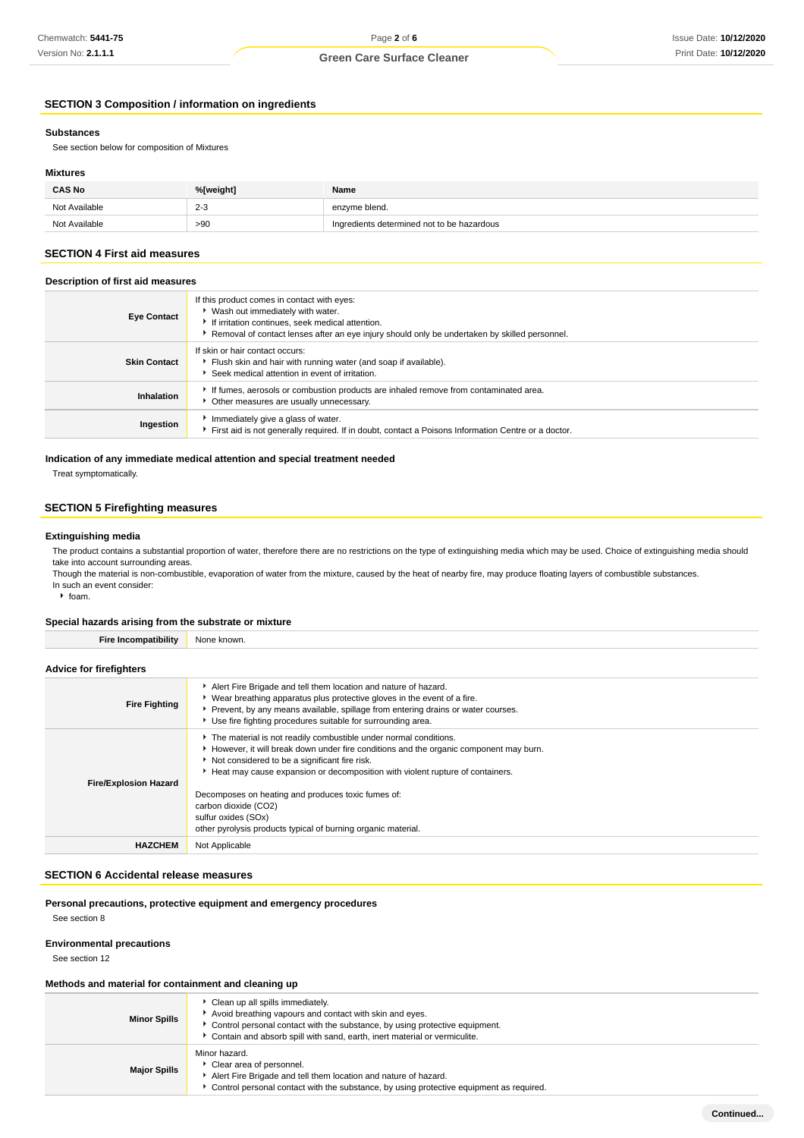# **SECTION 3 Composition / information on ingredients**

#### **Substances**

See section below for composition of Mixtures

#### **Mixtures**

| <b>CAS No</b> | %[weight]         | Name                                       |
|---------------|-------------------|--------------------------------------------|
| Not Available | $2 - 3$<br>$\sim$ | enzyme blend.                              |
| Not Available | >90               | Ingredients determined not to be hazardous |

## **SECTION 4 First aid measures**

# **Description of first aid measures**

| <b>Eye Contact</b>  | If this product comes in contact with eyes:<br>▶ Wash out immediately with water.<br>If irritation continues, seek medical attention.<br>▶ Removal of contact lenses after an eye injury should only be undertaken by skilled personnel. |
|---------------------|------------------------------------------------------------------------------------------------------------------------------------------------------------------------------------------------------------------------------------------|
| <b>Skin Contact</b> | If skin or hair contact occurs:<br>Flush skin and hair with running water (and soap if available).<br>Seek medical attention in event of irritation.                                                                                     |
| Inhalation          | If fumes, aerosols or combustion products are inhaled remove from contaminated area.<br>Other measures are usually unnecessary.                                                                                                          |
| Ingestion           | Immediately give a glass of water.<br>First aid is not generally required. If in doubt, contact a Poisons Information Centre or a doctor.                                                                                                |

### **Indication of any immediate medical attention and special treatment needed**

Treat symptomatically.

## **SECTION 5 Firefighting measures**

#### **Extinguishing media**

The product contains a substantial proportion of water, therefore there are no restrictions on the type of extinguishing media which may be used. Choice of extinguishing media should take into account surrounding areas.

Though the material is non-combustible, evaporation of water from the mixture, caused by the heat of nearby fire, may produce floating layers of combustible substances. In such an event consider:

 $\cdot$  foam.

#### **Special hazards arising from the substrate or mixture**

| <b>Fire Incompatibility</b>    | None known.                                                                                                                                                                                                                                                                                                                                                                                                                                                       |  |  |  |
|--------------------------------|-------------------------------------------------------------------------------------------------------------------------------------------------------------------------------------------------------------------------------------------------------------------------------------------------------------------------------------------------------------------------------------------------------------------------------------------------------------------|--|--|--|
| <b>Advice for firefighters</b> |                                                                                                                                                                                                                                                                                                                                                                                                                                                                   |  |  |  |
| <b>Fire Fighting</b>           | Alert Fire Brigade and tell them location and nature of hazard.<br>• Wear breathing apparatus plus protective gloves in the event of a fire.<br>▶ Prevent, by any means available, spillage from entering drains or water courses.<br>Use fire fighting procedures suitable for surrounding area.                                                                                                                                                                 |  |  |  |
| <b>Fire/Explosion Hazard</b>   | The material is not readily combustible under normal conditions.<br>However, it will break down under fire conditions and the organic component may burn.<br>Not considered to be a significant fire risk.<br>Heat may cause expansion or decomposition with violent rupture of containers.<br>Decomposes on heating and produces toxic fumes of:<br>carbon dioxide (CO2)<br>sulfur oxides (SOx)<br>other pyrolysis products typical of burning organic material. |  |  |  |
| <b>HAZCHEM</b>                 | Not Applicable                                                                                                                                                                                                                                                                                                                                                                                                                                                    |  |  |  |

#### **SECTION 6 Accidental release measures**

# **Personal precautions, protective equipment and emergency procedures**

See section 8

#### **Environmental precautions**

See section 12

#### **Methods and material for containment and cleaning up**

| <b>Minor Spills</b> | Clean up all spills immediately.<br>Avoid breathing vapours and contact with skin and eyes.<br>Control personal contact with the substance, by using protective equipment.<br>Contain and absorb spill with sand, earth, inert material or vermiculite. |
|---------------------|---------------------------------------------------------------------------------------------------------------------------------------------------------------------------------------------------------------------------------------------------------|
| <b>Major Spills</b> | Minor hazard.<br>Clear area of personnel.<br>Alert Fire Brigade and tell them location and nature of hazard.<br>Control personal contact with the substance, by using protective equipment as required.                                                 |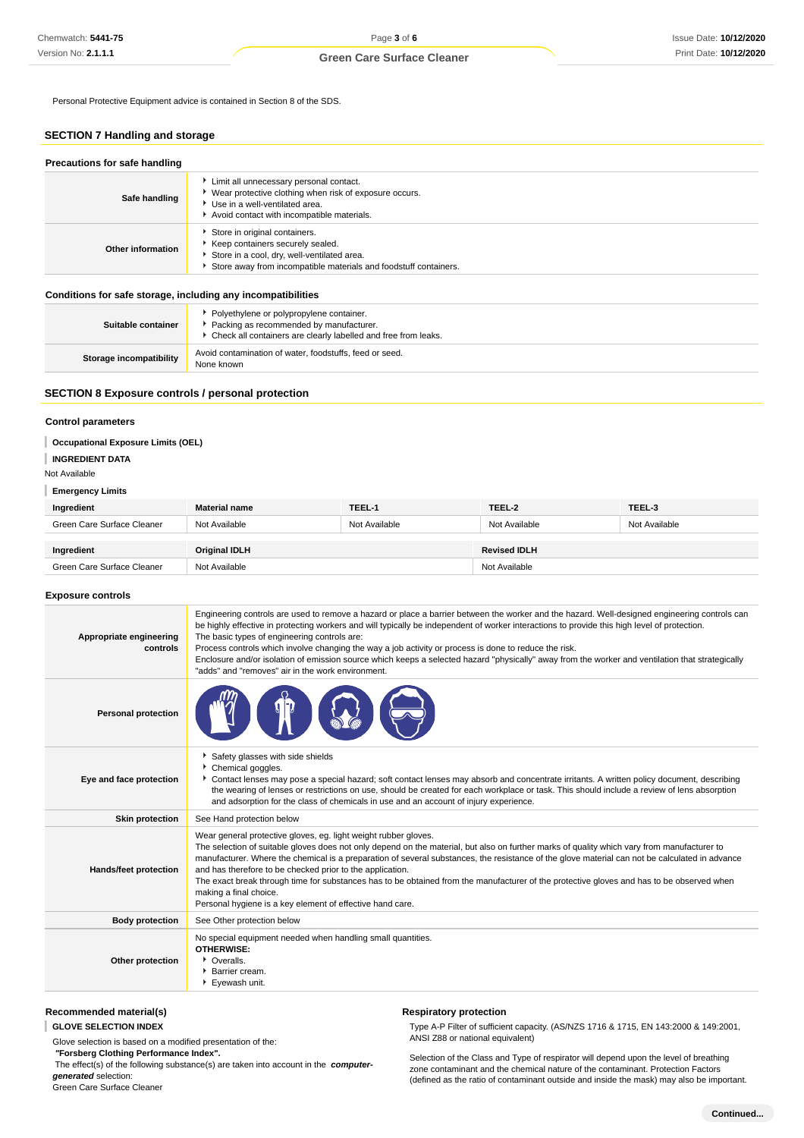Personal Protective Equipment advice is contained in Section 8 of the SDS.

# **SECTION 7 Handling and storage**

| Precautions for safe handling |                                                                                                                                                                                      |  |  |
|-------------------------------|--------------------------------------------------------------------------------------------------------------------------------------------------------------------------------------|--|--|
| Safe handling                 | Limit all unnecessary personal contact.<br>▶ Wear protective clothing when risk of exposure occurs.<br>Use in a well-ventilated area.<br>Avoid contact with incompatible materials.  |  |  |
| Other information             | Store in original containers.<br>Keep containers securely sealed.<br>Store in a cool, dry, well-ventilated area.<br>Store away from incompatible materials and foodstuff containers. |  |  |

#### **Conditions for safe storage, including any incompatibilities**

| Suitable container             | Polyethylene or polypropylene container.<br>Packing as recommended by manufacturer.<br>• Check all containers are clearly labelled and free from leaks. |
|--------------------------------|---------------------------------------------------------------------------------------------------------------------------------------------------------|
| <b>Storage incompatibility</b> | Avoid contamination of water, foodstuffs, feed or seed.<br>None known                                                                                   |

## **SECTION 8 Exposure controls / personal protection**

## **Control parameters**

## **Occupational Exposure Limits (OEL)**

#### **INGREDIENT DATA**

#### Not Available

#### **Emergency Limits**

| Ingredient                 | <b>Material name</b> | TEEL-1        | TEEL-2              | TEEL-3        |
|----------------------------|----------------------|---------------|---------------------|---------------|
| Green Care Surface Cleaner | Not Available        | Not Available | Not Available       | Not Available |
|                            |                      |               |                     |               |
| Ingredient                 | <b>Original IDLH</b> |               | <b>Revised IDLH</b> |               |
| Green Care Surface Cleaner | Not Available        |               | Not Available       |               |

#### **Exposure controls**

| Appropriate engineering<br>controls | Engineering controls are used to remove a hazard or place a barrier between the worker and the hazard. Well-designed engineering controls can<br>be highly effective in protecting workers and will typically be independent of worker interactions to provide this high level of protection.<br>The basic types of engineering controls are:<br>Process controls which involve changing the way a job activity or process is done to reduce the risk.<br>Enclosure and/or isolation of emission source which keeps a selected hazard "physically" away from the worker and ventilation that strategically<br>"adds" and "removes" air in the work environment.   |
|-------------------------------------|-------------------------------------------------------------------------------------------------------------------------------------------------------------------------------------------------------------------------------------------------------------------------------------------------------------------------------------------------------------------------------------------------------------------------------------------------------------------------------------------------------------------------------------------------------------------------------------------------------------------------------------------------------------------|
| <b>Personal protection</b>          |                                                                                                                                                                                                                                                                                                                                                                                                                                                                                                                                                                                                                                                                   |
| Eye and face protection             | Safety glasses with side shields<br>Chemical goggles.<br>Contact lenses may pose a special hazard; soft contact lenses may absorb and concentrate irritants. A written policy document, describing<br>the wearing of lenses or restrictions on use, should be created for each workplace or task. This should include a review of lens absorption<br>and adsorption for the class of chemicals in use and an account of injury experience.                                                                                                                                                                                                                        |
| <b>Skin protection</b>              | See Hand protection below                                                                                                                                                                                                                                                                                                                                                                                                                                                                                                                                                                                                                                         |
| Hands/feet protection               | Wear general protective gloves, eg. light weight rubber gloves.<br>The selection of suitable gloves does not only depend on the material, but also on further marks of quality which vary from manufacturer to<br>manufacturer. Where the chemical is a preparation of several substances, the resistance of the glove material can not be calculated in advance<br>and has therefore to be checked prior to the application.<br>The exact break through time for substances has to be obtained from the manufacturer of the protective gloves and has to be observed when<br>making a final choice.<br>Personal hygiene is a key element of effective hand care. |
| <b>Body protection</b>              | See Other protection below                                                                                                                                                                                                                                                                                                                                                                                                                                                                                                                                                                                                                                        |
| Other protection                    | No special equipment needed when handling small quantities.<br><b>OTHERWISE:</b><br>• Overalls.<br>Barrier cream.<br>Eyewash unit.                                                                                                                                                                                                                                                                                                                                                                                                                                                                                                                                |

## **Recommended material(s)**

**GLOVE SELECTION INDEX**

Glove selection is based on a modified presentation of the:

 **"Forsberg Clothing Performance Index".**

 The effect(s) of the following substance(s) are taken into account in the **computergenerated** selection:

Green Care Surface Cleaner

# **Respiratory protection**

Type A-P Filter of sufficient capacity. (AS/NZS 1716 & 1715, EN 143:2000 & 149:2001, ANSI Z88 or national equivalent)

Selection of the Class and Type of respirator will depend upon the level of breathing zone contaminant and the chemical nature of the contaminant. Protection Factors (defined as the ratio of contaminant outside and inside the mask) may also be important.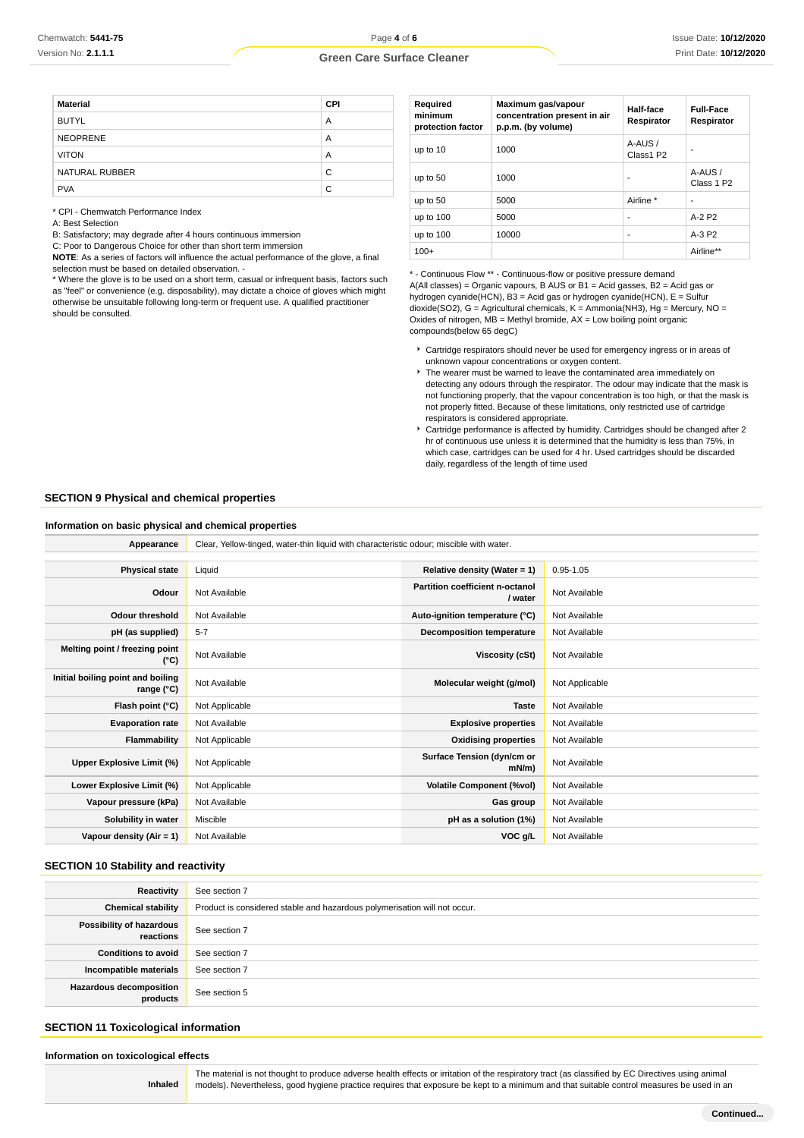| <b>Material</b> | <b>CPI</b> |
|-----------------|------------|
| <b>BUTYL</b>    | A          |
| <b>NEOPRENE</b> | A          |
| <b>VITON</b>    | A          |
| NATURAL RUBBER  | C          |
| <b>PVA</b>      | C          |

\* CPI - Chemwatch Performance Index

A: Best Selection

B: Satisfactory; may degrade after 4 hours continuous immersion

C: Poor to Dangerous Choice for other than short term immersion

**NOTE**: As a series of factors will influence the actual performance of the glove, a final selection must be based on detailed observation. -

\* Where the glove is to be used on a short term, casual or infrequent basis, factors such as "feel" or convenience (e.g. disposability), may dictate a choice of gloves which might otherwise be unsuitable following long-term or frequent use. A qualified practitioner should be consulted.

| Required<br>minimum<br>protection factor | Maximum gas/vapour<br>concentration present in air<br>p.p.m. (by volume) | Half-face<br>Respirator | <b>Full-Face</b><br>Respirator   |
|------------------------------------------|--------------------------------------------------------------------------|-------------------------|----------------------------------|
| up to 10                                 | 1000                                                                     | A-AUS /<br>Class1 P2    |                                  |
| up to 50                                 | 1000                                                                     | ۰                       | A-AUS/<br>Class 1 P <sub>2</sub> |
| up to 50                                 | 5000                                                                     | Airline *               |                                  |
| up to 100                                | 5000                                                                     | ۰                       | $A-2P2$                          |
| up to 100                                | 10000                                                                    | ۰                       | $A-3P2$                          |
| $100+$                                   |                                                                          |                         | Airline**                        |

\* - Continuous Flow \*\* - Continuous-flow or positive pressure demand A(All classes) = Organic vapours, B AUS or B1 = Acid gasses, B2 = Acid gas or hydrogen cyanide(HCN), B3 = Acid gas or hydrogen cyanide(HCN), E = Sulfur dioxide(SO2), G = Agricultural chemicals, K = Ammonia(NH3), Hg = Mercury, NO = Oxides of nitrogen,  $MB =$  Methyl bromide,  $AX =$  Low boiling point organic compounds(below 65 degC)

- Cartridge respirators should never be used for emergency ingress or in areas of unknown vapour concentrations or oxygen content.
- The wearer must be warned to leave the contaminated area immediately on detecting any odours through the respirator. The odour may indicate that the mask is not functioning properly, that the vapour concentration is too high, or that the mask is not properly fitted. Because of these limitations, only restricted use of cartridge respirators is considered appropriate.
- Cartridge performance is affected by humidity. Cartridges should be changed after 2 hr of continuous use unless it is determined that the humidity is less than 75%, in which case, cartridges can be used for 4 hr. Used cartridges should be discarded daily, regardless of the length of time used

## **SECTION 9 Physical and chemical properties**

#### **Information on basic physical and chemical properties**

| Appearance                                      | Clear, Yellow-tinged, water-thin liquid with characteristic odour; miscible with water. |                                            |                |
|-------------------------------------------------|-----------------------------------------------------------------------------------------|--------------------------------------------|----------------|
|                                                 |                                                                                         |                                            |                |
| <b>Physical state</b>                           | Liquid                                                                                  | Relative density (Water = 1)               | $0.95 - 1.05$  |
| Odour                                           | Not Available                                                                           | Partition coefficient n-octanol<br>/ water | Not Available  |
| <b>Odour threshold</b>                          | Not Available                                                                           | Auto-ignition temperature (°C)             | Not Available  |
| pH (as supplied)                                | $5 - 7$                                                                                 | Decomposition temperature                  | Not Available  |
| Melting point / freezing point<br>(°C)          | Not Available                                                                           | Viscosity (cSt)                            | Not Available  |
| Initial boiling point and boiling<br>range (°C) | Not Available                                                                           | Molecular weight (g/mol)                   | Not Applicable |
| Flash point (°C)                                | Not Applicable                                                                          | <b>Taste</b>                               | Not Available  |
| <b>Evaporation rate</b>                         | Not Available                                                                           | <b>Explosive properties</b>                | Not Available  |
| <b>Flammability</b>                             | Not Applicable                                                                          | <b>Oxidising properties</b>                | Not Available  |
| Upper Explosive Limit (%)                       | Not Applicable                                                                          | Surface Tension (dyn/cm or<br>$mN/m$ )     | Not Available  |
| Lower Explosive Limit (%)                       | Not Applicable                                                                          | <b>Volatile Component (%vol)</b>           | Not Available  |
| Vapour pressure (kPa)                           | Not Available                                                                           | Gas group                                  | Not Available  |
| Solubility in water                             | Miscible                                                                                | pH as a solution (1%)                      | Not Available  |
| Vapour density (Air = 1)                        | Not Available                                                                           | VOC g/L                                    | Not Available  |

# **SECTION 10 Stability and reactivity**

| Reactivity                            | See section 7                                                             |
|---------------------------------------|---------------------------------------------------------------------------|
| <b>Chemical stability</b>             | Product is considered stable and hazardous polymerisation will not occur. |
| Possibility of hazardous<br>reactions | See section 7                                                             |
| <b>Conditions to avoid</b>            | See section 7                                                             |
| Incompatible materials                | See section 7                                                             |
| Hazardous decomposition<br>products   | See section 5                                                             |

## **SECTION 11 Toxicological information**

#### **Information on toxicological effects**

**Inhaled**

The material is not thought to produce adverse health effects or irritation of the respiratory tract (as classified by EC Directives using animal models). Nevertheless, good hygiene practice requires that exposure be kept to a minimum and that suitable control measures be used in an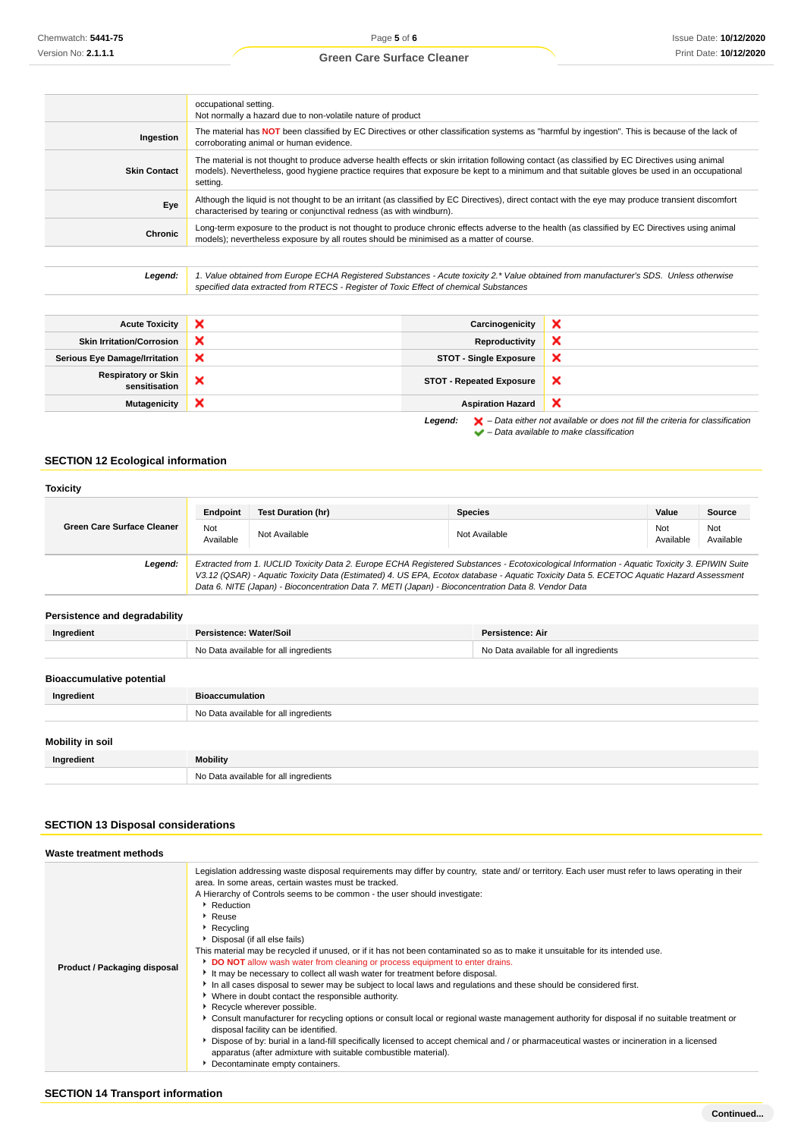|                     | occupational setting.<br>Not normally a hazard due to non-volatile nature of product                                                                                                                                                                                                                        |
|---------------------|-------------------------------------------------------------------------------------------------------------------------------------------------------------------------------------------------------------------------------------------------------------------------------------------------------------|
| Ingestion           | The material has NOT been classified by EC Directives or other classification systems as "harmful by ingestion". This is because of the lack of<br>corroborating animal or human evidence.                                                                                                                  |
| <b>Skin Contact</b> | The material is not thought to produce adverse health effects or skin irritation following contact (as classified by EC Directives using animal<br>models). Nevertheless, good hygiene practice requires that exposure be kept to a minimum and that suitable gloves be used in an occupational<br>setting. |
| Eye                 | Although the liquid is not thought to be an irritant (as classified by EC Directives), direct contact with the eye may produce transient discomfort<br>characterised by tearing or conjunctival redness (as with windburn).                                                                                 |
| Chronic             | Long-term exposure to the product is not thought to produce chronic effects adverse to the health (as classified by EC Directives using animal<br>models); nevertheless exposure by all routes should be minimised as a matter of course.                                                                   |
|                     |                                                                                                                                                                                                                                                                                                             |

Legend: 1. Value obtained from Europe ECHA Registered Substances - Acute toxicity 2.\* Value obtained from manufacturer's SDS. Unless otherwise specified data extracted from RTECS - Register of Toxic Effect of chemical Substances

| <b>Acute Toxicity</b>                | × | Carcinogenicity                 | × |
|--------------------------------------|---|---------------------------------|---|
| <b>Skin Irritation/Corrosion</b>     | × | Reproductivity                  | × |
| <b>Serious Eye Damage/Irritation</b> | × | <b>STOT - Single Exposure</b>   | × |
| Respiratory or Skin<br>sensitisation | × | <b>STOT - Repeated Exposure</b> | × |
| <b>Mutagenicity</b>                  | × | <b>Aspiration Hazard</b>        | × |
|                                      |   |                                 |   |

**Legend:**  $\mathbf{X}$  – Data either not available or does not fill the criteria for classification – Data available to make classification

# **SECTION 12 Ecological information**

| <b>Toxicity</b>                   |                                             |                                                                                                                                                                                                                                                                                                                                                                                                 |                                       |                  |                  |
|-----------------------------------|---------------------------------------------|-------------------------------------------------------------------------------------------------------------------------------------------------------------------------------------------------------------------------------------------------------------------------------------------------------------------------------------------------------------------------------------------------|---------------------------------------|------------------|------------------|
|                                   | Endpoint                                    | <b>Test Duration (hr)</b>                                                                                                                                                                                                                                                                                                                                                                       | <b>Species</b>                        | Value            | Source           |
| <b>Green Care Surface Cleaner</b> | <b>Not</b><br>Available                     | Not Available                                                                                                                                                                                                                                                                                                                                                                                   | Not Available                         | Not<br>Available | Not<br>Available |
| Legend:                           |                                             | Extracted from 1. IUCLID Toxicity Data 2. Europe ECHA Registered Substances - Ecotoxicological Information - Aquatic Toxicity 3. EPIWIN Suite<br>V3.12 (QSAR) - Aquatic Toxicity Data (Estimated) 4. US EPA, Ecotox database - Aquatic Toxicity Data 5. ECETOC Aquatic Hazard Assessment<br>Data 6. NITE (Japan) - Bioconcentration Data 7. METI (Japan) - Bioconcentration Data 8. Vendor Data |                                       |                  |                  |
| Persistence and degradability     |                                             |                                                                                                                                                                                                                                                                                                                                                                                                 |                                       |                  |                  |
| Ingredient                        | Persistence: Air<br>Persistence: Water/Soil |                                                                                                                                                                                                                                                                                                                                                                                                 |                                       |                  |                  |
|                                   |                                             | No Data available for all ingredients                                                                                                                                                                                                                                                                                                                                                           | No Data available for all ingredients |                  |                  |
| <b>Bioaccumulative potential</b>  |                                             |                                                                                                                                                                                                                                                                                                                                                                                                 |                                       |                  |                  |
| Ingredient                        | <b>Bioaccumulation</b>                      |                                                                                                                                                                                                                                                                                                                                                                                                 |                                       |                  |                  |
|                                   |                                             | No Data available for all ingredients                                                                                                                                                                                                                                                                                                                                                           |                                       |                  |                  |
| <b>Mobility in soil</b>           |                                             |                                                                                                                                                                                                                                                                                                                                                                                                 |                                       |                  |                  |
| Ingredient                        | <b>Mobility</b>                             |                                                                                                                                                                                                                                                                                                                                                                                                 |                                       |                  |                  |
|                                   |                                             | No Data available for all ingredients                                                                                                                                                                                                                                                                                                                                                           |                                       |                  |                  |

# **SECTION 13 Disposal considerations**

| Waste treatment methods      |                                                                                                                                                                                                                                                                                                                                                                                                                                                                                                                                                                                                                                                                                                                                                                                                                                                                                                                                                                                                                                                                                                                                                                                                                                                                                                                                                                 |
|------------------------------|-----------------------------------------------------------------------------------------------------------------------------------------------------------------------------------------------------------------------------------------------------------------------------------------------------------------------------------------------------------------------------------------------------------------------------------------------------------------------------------------------------------------------------------------------------------------------------------------------------------------------------------------------------------------------------------------------------------------------------------------------------------------------------------------------------------------------------------------------------------------------------------------------------------------------------------------------------------------------------------------------------------------------------------------------------------------------------------------------------------------------------------------------------------------------------------------------------------------------------------------------------------------------------------------------------------------------------------------------------------------|
| Product / Packaging disposal | Legislation addressing waste disposal requirements may differ by country, state and/ or territory. Each user must refer to laws operating in their<br>area. In some areas, certain wastes must be tracked.<br>A Hierarchy of Controls seems to be common - the user should investigate:<br>Reduction<br>$\blacktriangleright$ Reuse<br>$\blacktriangleright$ Recycling<br>Disposal (if all else fails)<br>This material may be recycled if unused, or if it has not been contaminated so as to make it unsuitable for its intended use.<br>DO NOT allow wash water from cleaning or process equipment to enter drains.<br>It may be necessary to collect all wash water for treatment before disposal.<br>In all cases disposal to sewer may be subject to local laws and regulations and these should be considered first.<br>▶ Where in doubt contact the responsible authority.<br>Recycle wherever possible.<br>► Consult manufacturer for recycling options or consult local or regional waste management authority for disposal if no suitable treatment or<br>disposal facility can be identified.<br>▶ Dispose of by: burial in a land-fill specifically licensed to accept chemical and / or pharmaceutical wastes or incineration in a licensed<br>apparatus (after admixture with suitable combustible material).<br>Decontaminate empty containers. |